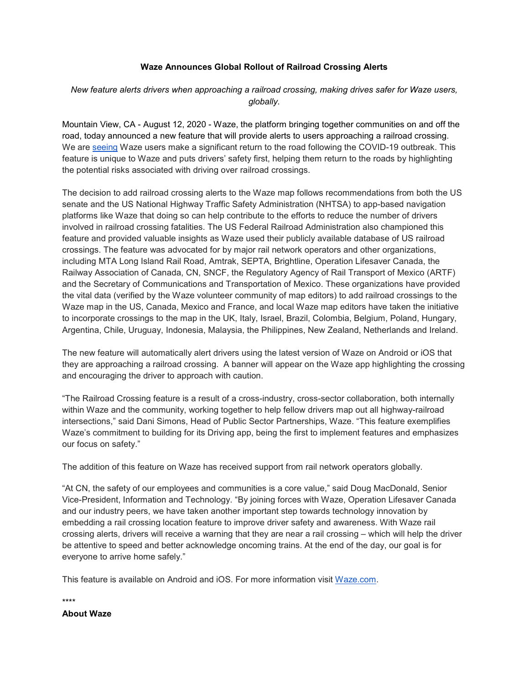## **Waze Announces Global Rollout of Railroad Crossing Alerts**

## *New feature alerts drivers when approaching a railroad crossing, making drives safer for Waze users, globally.*

Mountain View, CA - August 12, 2020 - Waze, the platform bringing together communities on and off the road, today announced a new feature that will provide alerts to users approaching a railroad crossing. We are [seeing](https://www.waze.com/en-GB/covid19) Waze users make a significant return to the road following the COVID-19 outbreak. This feature is unique to Waze and puts drivers' safety first, helping them return to the roads by highlighting the potential risks associated with driving over railroad crossings.

The decision to add railroad crossing alerts to the Waze map follows recommendations from both the US senate and the US National Highway Traffic Safety Administration (NHTSA) to app-based navigation platforms like Waze that doing so can help contribute to the efforts to reduce the number of drivers involved in railroad crossing fatalities. The US Federal Railroad Administration also championed this feature and provided valuable insights as Waze used their publicly available database of US railroad crossings. The feature was advocated for by major rail network operators and other organizations, including MTA Long Island Rail Road, Amtrak, SEPTA, Brightline, Operation Lifesaver Canada, the Railway Association of Canada, CN, SNCF, the Regulatory Agency of Rail Transport of Mexico (ARTF) and the Secretary of Communications and Transportation of Mexico. These organizations have provided the vital data (verified by the Waze volunteer community of map editors) to add railroad crossings to the Waze map in the US, Canada, Mexico and France, and local Waze map editors have taken the initiative to incorporate crossings to the map in the UK, Italy, Israel, Brazil, Colombia, Belgium, Poland, Hungary, Argentina, Chile, Uruguay, Indonesia, Malaysia, the Philippines, New Zealand, Netherlands and Ireland.

The new feature will automatically alert drivers using the latest version of Waze on Android or iOS that they are approaching a railroad crossing. A banner will appear on the Waze app highlighting the crossing and encouraging the driver to approach with caution.

"The Railroad Crossing feature is a result of a cross-industry, cross-sector collaboration, both internally within Waze and the community, working together to help fellow drivers map out all highway-railroad intersections," said Dani Simons, Head of Public Sector Partnerships, Waze. "This feature exemplifies Waze's commitment to building for its Driving app, being the first to implement features and emphasizes our focus on safety."

The addition of this feature on Waze has received support from rail network operators globally.

"At CN, the safety of our employees and communities is a core value," said Doug MacDonald, Senior Vice-President, Information and Technology. "By joining forces with Waze, Operation Lifesaver Canada and our industry peers, we have taken another important step towards technology innovation by embedding a rail crossing location feature to improve driver safety and awareness. With Waze rail crossing alerts, drivers will receive a warning that they are near a rail crossing – which will help the driver be attentive to speed and better acknowledge oncoming trains. At the end of the day, our goal is for everyone to arrive home safely."

This feature is available on Android and iOS. For more information visit [Waze.com.](https://www.waze.com/)

\*\*\*\*

**About Waze**